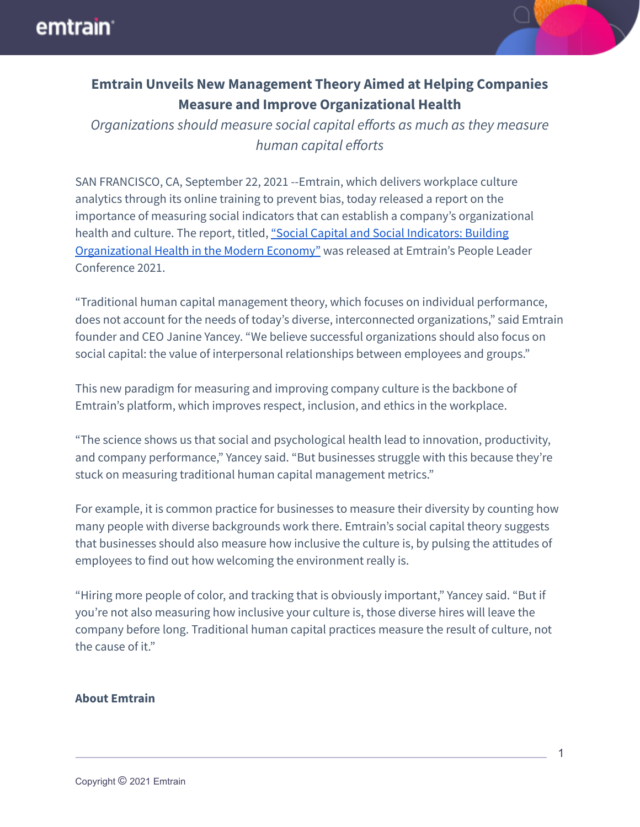

## **Emtrain Unveils New Management Theory Aimed at Helping Companies Measure and Improve Organizational Health**

*Organizations should measure social capital efforts as much as they measure human capital efforts*

SAN FRANCISCO, CA, September 22, 2021 --Emtrain, which delivers workplace culture analytics through its online training to prevent bias, today released a report on the importance of measuring social indicators that can establish a company's organizational health and culture. The report, titled, "Social Capital and Social [Indicators:](https://emtrain.com/resources/social-capital-indicators-building-organizational-health/) Building [Organizational](https://emtrain.com/resources/social-capital-indicators-building-organizational-health/) Health in the Modern Economy" was released at Emtrain's People Leader Conference 2021.

"Traditional human capital management theory, which focuses on individual performance, does not account for the needs of today's diverse, interconnected organizations," said Emtrain founder and CEO Janine Yancey. "We believe successful organizations should also focus on social capital: the value of interpersonal relationships between employees and groups."

This new paradigm for measuring and improving company culture is the backbone of Emtrain's platform, which improves respect, inclusion, and ethics in the workplace.

"The science shows us that social and psychological health lead to innovation, productivity, and company performance," Yancey said. "But businesses struggle with this because they're stuck on measuring traditional human capital management metrics."

For example, it is common practice for businesses to measure their diversity by counting how many people with diverse backgrounds work there. Emtrain's social capital theory suggests that businesses should also measure how inclusive the culture is, by pulsing the attitudes of employees to find out how welcoming the environment really is.

"Hiring more people of color, and tracking that is obviously important," Yancey said. "But if you're not also measuring how inclusive your culture is, those diverse hires will leave the company before long. Traditional human capital practices measure the result of culture, not the cause of it."

## **About Emtrain**